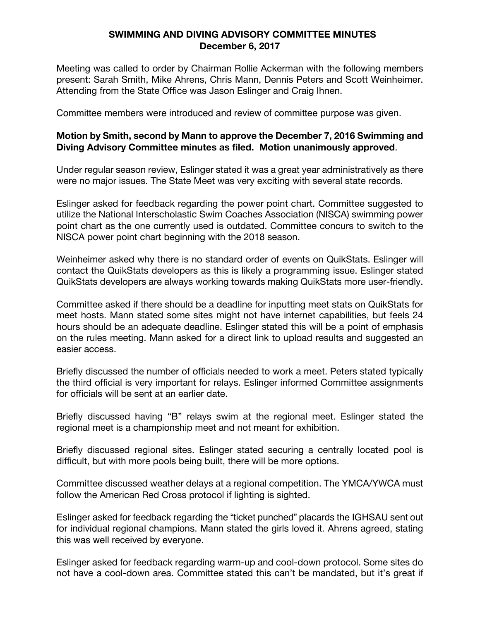## **SWIMMING AND DIVING ADVISORY COMMITTEE MINUTES December 6, 2017**

Meeting was called to order by Chairman Rollie Ackerman with the following members present: Sarah Smith, Mike Ahrens, Chris Mann, Dennis Peters and Scott Weinheimer. Attending from the State Office was Jason Eslinger and Craig Ihnen.

Committee members were introduced and review of committee purpose was given.

## **Motion by Smith, second by Mann to approve the December 7, 2016 Swimming and Diving Advisory Committee minutes as filed. Motion unanimously approved**.

Under regular season review, Eslinger stated it was a great year administratively as there were no major issues. The State Meet was very exciting with several state records.

Eslinger asked for feedback regarding the power point chart. Committee suggested to utilize the National Interscholastic Swim Coaches Association (NISCA) swimming power point chart as the one currently used is outdated. Committee concurs to switch to the NISCA power point chart beginning with the 2018 season.

Weinheimer asked why there is no standard order of events on QuikStats. Eslinger will contact the QuikStats developers as this is likely a programming issue. Eslinger stated QuikStats developers are always working towards making QuikStats more user-friendly.

Committee asked if there should be a deadline for inputting meet stats on QuikStats for meet hosts. Mann stated some sites might not have internet capabilities, but feels 24 hours should be an adequate deadline. Eslinger stated this will be a point of emphasis on the rules meeting. Mann asked for a direct link to upload results and suggested an easier access.

Briefly discussed the number of officials needed to work a meet. Peters stated typically the third official is very important for relays. Eslinger informed Committee assignments for officials will be sent at an earlier date.

Briefly discussed having "B" relays swim at the regional meet. Eslinger stated the regional meet is a championship meet and not meant for exhibition.

Briefly discussed regional sites. Eslinger stated securing a centrally located pool is difficult, but with more pools being built, there will be more options.

Committee discussed weather delays at a regional competition. The YMCA/YWCA must follow the American Red Cross protocol if lighting is sighted.

Eslinger asked for feedback regarding the "ticket punched" placards the IGHSAU sent out for individual regional champions. Mann stated the girls loved it. Ahrens agreed, stating this was well received by everyone.

Eslinger asked for feedback regarding warm-up and cool-down protocol. Some sites do not have a cool-down area. Committee stated this can't be mandated, but it's great if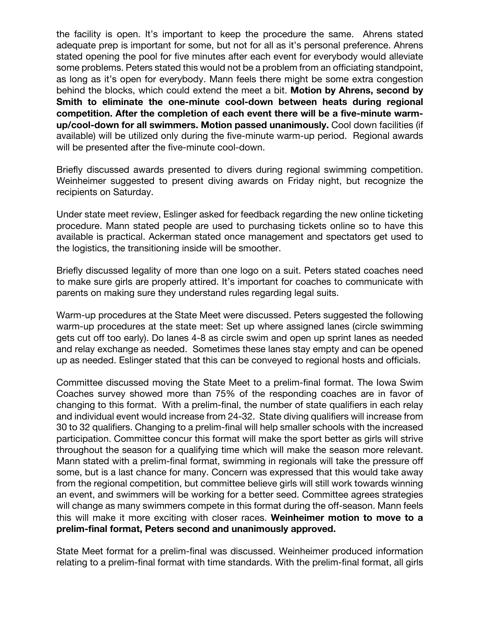the facility is open. It's important to keep the procedure the same. Ahrens stated adequate prep is important for some, but not for all as it's personal preference. Ahrens stated opening the pool for five minutes after each event for everybody would alleviate some problems. Peters stated this would not be a problem from an officiating standpoint, as long as it's open for everybody. Mann feels there might be some extra congestion behind the blocks, which could extend the meet a bit. **Motion by Ahrens, second by Smith to eliminate the one-minute cool-down between heats during regional competition. After the completion of each event there will be a five-minute warmup/cool-down for all swimmers. Motion passed unanimously.** Cool down facilities (if available) will be utilized only during the five-minute warm-up period. Regional awards will be presented after the five-minute cool-down.

Briefly discussed awards presented to divers during regional swimming competition. Weinheimer suggested to present diving awards on Friday night, but recognize the recipients on Saturday.

Under state meet review, Eslinger asked for feedback regarding the new online ticketing procedure. Mann stated people are used to purchasing tickets online so to have this available is practical. Ackerman stated once management and spectators get used to the logistics, the transitioning inside will be smoother.

Briefly discussed legality of more than one logo on a suit. Peters stated coaches need to make sure girls are properly attired. It's important for coaches to communicate with parents on making sure they understand rules regarding legal suits.

Warm-up procedures at the State Meet were discussed. Peters suggested the following warm-up procedures at the state meet: Set up where assigned lanes (circle swimming gets cut off too early). Do lanes 4-8 as circle swim and open up sprint lanes as needed and relay exchange as needed. Sometimes these lanes stay empty and can be opened up as needed. Eslinger stated that this can be conveyed to regional hosts and officials.

Committee discussed moving the State Meet to a prelim-final format. The Iowa Swim Coaches survey showed more than 75% of the responding coaches are in favor of changing to this format. With a prelim-final, the number of state qualifiers in each relay and individual event would increase from 24-32. State diving qualifiers will increase from 30 to 32 qualifiers. Changing to a prelim-final will help smaller schools with the increased participation. Committee concur this format will make the sport better as girls will strive throughout the season for a qualifying time which will make the season more relevant. Mann stated with a prelim-final format, swimming in regionals will take the pressure off some, but is a last chance for many. Concern was expressed that this would take away from the regional competition, but committee believe girls will still work towards winning an event, and swimmers will be working for a better seed. Committee agrees strategies will change as many swimmers compete in this format during the off-season. Mann feels this will make it more exciting with closer races. **Weinheimer motion to move to a prelim-final format, Peters second and unanimously approved.**

State Meet format for a prelim-final was discussed. Weinheimer produced information relating to a prelim-final format with time standards. With the prelim-final format, all girls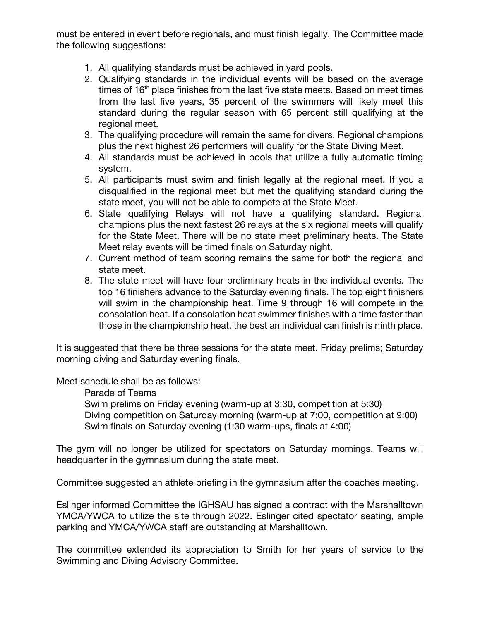must be entered in event before regionals, and must finish legally. The Committee made the following suggestions:

- 1. All qualifying standards must be achieved in yard pools.
- 2. Qualifying standards in the individual events will be based on the average times of 16<sup>th</sup> place finishes from the last five state meets. Based on meet times from the last five years, 35 percent of the swimmers will likely meet this standard during the regular season with 65 percent still qualifying at the regional meet.
- 3. The qualifying procedure will remain the same for divers. Regional champions plus the next highest 26 performers will qualify for the State Diving Meet.
- 4. All standards must be achieved in pools that utilize a fully automatic timing system.
- 5. All participants must swim and finish legally at the regional meet. If you a disqualified in the regional meet but met the qualifying standard during the state meet, you will not be able to compete at the State Meet.
- 6. State qualifying Relays will not have a qualifying standard. Regional champions plus the next fastest 26 relays at the six regional meets will qualify for the State Meet. There will be no state meet preliminary heats. The State Meet relay events will be timed finals on Saturday night.
- 7. Current method of team scoring remains the same for both the regional and state meet.
- 8. The state meet will have four preliminary heats in the individual events. The top 16 finishers advance to the Saturday evening finals. The top eight finishers will swim in the championship heat. Time 9 through 16 will compete in the consolation heat. If a consolation heat swimmer finishes with a time faster than those in the championship heat, the best an individual can finish is ninth place.

It is suggested that there be three sessions for the state meet. Friday prelims; Saturday morning diving and Saturday evening finals.

Meet schedule shall be as follows:

Parade of Teams

Swim prelims on Friday evening (warm-up at 3:30, competition at 5:30) Diving competition on Saturday morning (warm-up at 7:00, competition at 9:00) Swim finals on Saturday evening (1:30 warm-ups, finals at 4:00)

The gym will no longer be utilized for spectators on Saturday mornings. Teams will headquarter in the gymnasium during the state meet.

Committee suggested an athlete briefing in the gymnasium after the coaches meeting.

Eslinger informed Committee the IGHSAU has signed a contract with the Marshalltown YMCA/YWCA to utilize the site through 2022. Eslinger cited spectator seating, ample parking and YMCA/YWCA staff are outstanding at Marshalltown.

The committee extended its appreciation to Smith for her years of service to the Swimming and Diving Advisory Committee.